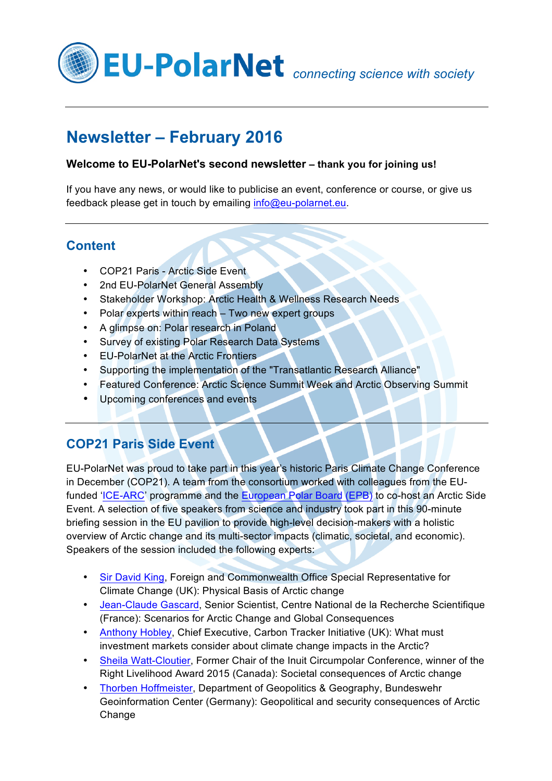

# **Newsletter – February 2016**

### **Welcome to EU-PolarNet's second newsletter – thank you for joining us!**

If you have any news, or would like to publicise an event, conference or course, or give us feedback please get in touch by emailing info@eu-polarnet.eu.

### **Content**

- COP21 Paris Arctic Side Event
- [2nd EU-PolarNet General Assembly](#page-1-0)
- [Stakeholder Workshop: Arctic Health & Wellness Research Needs](#page-1-0)
- [Polar experts within reach –](#page-2-0) Two new expert groups
- [A glimpse on: Polar research in Poland](#page-4-0)
- [Survey of existing Polar Research Data Systems](#page-6-0)
- [EU-PolarNet at the Arctic Frontiers](#page-7-0)
- [Supporting the implementation of the "Transatlantic Research Alliance"](#page-8-0)
- [Featured Conference: Arctic Science Summit Week](#page-8-0) and Arctic Observing Summit
- [Upcoming conferences and events](#page-10-0)

## **COP21 Paris Side Event**

EU-PolarNet was proud to take part in this year's historic Paris Climate Change Conference in December (COP21). A team from the consortium worked with colleagues from the EU-funded ['ICE-ARC'](http://www.ice-arc.eu/) programme and the [European Polar Board \(EPB\)](http://www.europeanpolarboard.org/) to co-host an Arctic Side Event. A selection of five speakers from science and industry took part in this 90-minute briefing session in the EU pavilion to provide high-level decision-makers with a holistic overview of Arctic change and its multi-sector impacts (climatic, societal, and economic). Speakers of the session included the following experts:

- [Sir David King,](https://en.wikipedia.org/wiki/David_King_%28chemist%29) Foreign and Commonwealth Office Special Representative for Climate Change (UK): Physical Basis of Arctic change
- [Jean-Claude Gascard,](http://www.access-eu.org/en/project_content/about.html) Senior Scientist, Centre National de la Recherche Scientifique (France): Scenarios for Arctic Change and Global Consequences
- [Anthony Hobley,](http://www.carbontracker.org/staff/anthony-hobley/) Chief Executive, Carbon Tracker Initiative (UK): What must investment markets consider about climate change impacts in the Arctic?
- [Sheila Watt-Cloutier,](http://www.rightlivelihood.org/watt-cloutier.html) Former Chair of the Inuit Circumpolar Conference, winner of the Right Livelihood Award 2015 (Canada): Societal consequences of Arctic change
- [Thorben Hoffmeister,](https://de.linkedin.com/in/thorben-hoffmeister-45538a8a) Department of Geopolitics & Geography, Bundeswehr Geoinformation Center (Germany): Geopolitical and security consequences of Arctic Change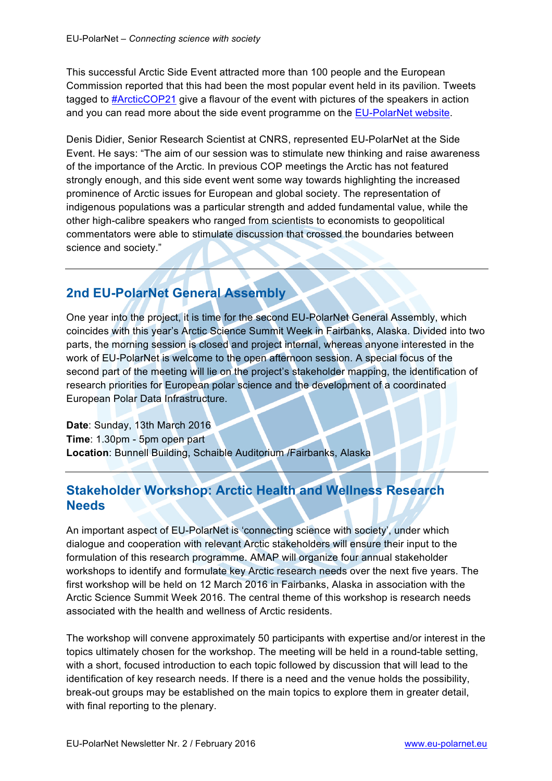<span id="page-1-0"></span>This successful Arctic Side Event attracted more than 100 people and the European Commission reported that this had been the most popular event held in its pavilion. Tweets tagged to [#ArcticCOP21](https://twitter.com/hashtag/ArcticCOP21?src=hash) give a flavour of the event with pictures of the speakers in action and you can read more about the side event programme on the [EU-PolarNet website.](http://www.eu-polarnet.eu/news-and-events/conferences-and-workshops/cop21-side-event.html)

Denis Didier, Senior Research Scientist at CNRS, represented EU-PolarNet at the Side Event. He says: "The aim of our session was to stimulate new thinking and raise awareness of the importance of the Arctic. In previous COP meetings the Arctic has not featured strongly enough, and this side event went some way towards highlighting the increased prominence of Arctic issues for European and global society. The representation of indigenous populations was a particular strength and added fundamental value, while the other high-calibre speakers who ranged from scientists to economists to geopolitical commentators were able to stimulate discussion that crossed the boundaries between science and society."

## **2nd EU-PolarNet General Assembly**

One year into the project, it is time for the second EU-PolarNet General Assembly, which coincides with this year's Arctic Science Summit Week in Fairbanks, Alaska. Divided into two parts, the morning session is closed and project internal, whereas anyone interested in the work of EU-PolarNet is welcome to the open afternoon session. A special focus of the second part of the meeting will lie on the project's stakeholder mapping, the identification of research priorities for European polar science and the development of a coordinated European Polar Data Infrastructure.

**Date**: Sunday, 13th March 2016 **Time**: 1.30pm - 5pm open part **Location**: Bunnell Building, Schaible Auditorium /Fairbanks, Alaska

## **Stakeholder Workshop: Arctic Health and Wellness Research Needs**

An important aspect of EU-PolarNet is 'connecting science with society', under which dialogue and cooperation with relevant Arctic stakeholders will ensure their input to the formulation of this research programme. AMAP will organize four annual stakeholder workshops to identify and formulate key Arctic research needs over the next five years. The first workshop will be held on 12 March 2016 in Fairbanks, Alaska in association with the Arctic Science Summit Week 2016. The central theme of this workshop is research needs associated with the health and wellness of Arctic residents.

The workshop will convene approximately 50 participants with expertise and/or interest in the topics ultimately chosen for the workshop. The meeting will be held in a round-table setting, with a short, focused introduction to each topic followed by discussion that will lead to the identification of key research needs. If there is a need and the venue holds the possibility, break-out groups may be established on the main topics to explore them in greater detail, with final reporting to the plenary.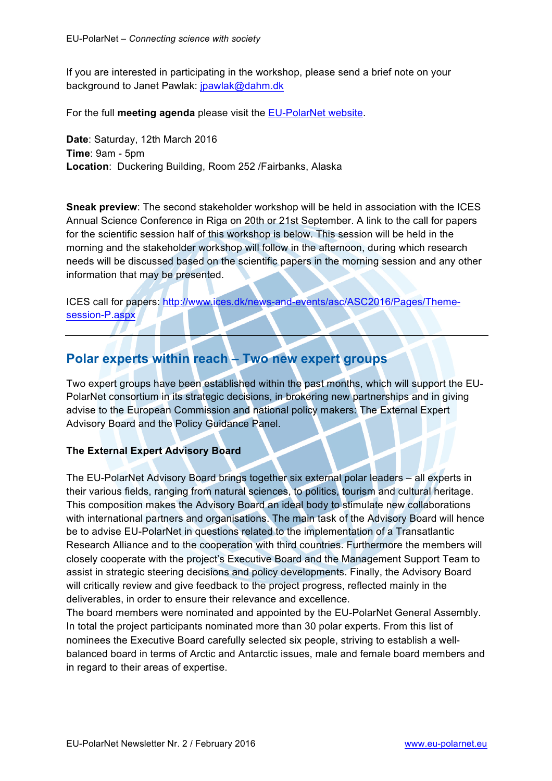<span id="page-2-0"></span>If you are interested in participating in the workshop, please send a brief note on your background to Janet Pawlak: jpawlak@dahm.dk

For the full **meeting agenda** please visit th[e EU-PolarNet website.](http://www.eu-polarnet.eu/news-and-events/conferences-and-workshops.html#c516)

**Date**: Saturday, 12th March 2016 **Time**: 9am - 5pm **Location**: Duckering Building, Room 252 /Fairbanks, Alaska

**Sneak preview**: The second stakeholder workshop will be held in association with the ICES Annual Science Conference in Riga on 20th or 21st September. A link to the call for papers for the scientific session half of this workshop is below. This session will be held in the morning and the stakeholder workshop will follow in the afternoon, during which research needs will be discussed based on the scientific papers in the morning session and any other information that may be presented.

ICES call for papers: http://www.ices.dk/news-and-events/asc/ASC2016/Pages/Themesession-P.aspx

### **Polar experts within reach – Two new expert groups**

Two expert groups have been established within the past months, which will support the EU-PolarNet consortium in its strategic decisions, in brokering new partnerships and in giving advise to the European Commission and national policy makers: The External Expert Advisory Board and the Policy Guidance Panel.

#### **The External Expert Advisory Board**

The EU-PolarNet Advisory Board brings together six external polar leaders – all experts in their various fields, ranging from natural sciences, to politics, tourism and cultural heritage. This composition makes the Advisory Board an ideal body to stimulate new collaborations with international partners and organisations. The main task of the Advisory Board will hence be to advise EU-PolarNet in questions related to the implementation of a Transatlantic Research Alliance and to the cooperation with third countries. Furthermore the members will closely cooperate with the project's Executive Board and the Management Support Team to assist in strategic steering decisions and policy developments. Finally, the Advisory Board will critically review and give feedback to the project progress, reflected mainly in the deliverables, in order to ensure their relevance and excellence.

The board members were nominated and appointed by the EU-PolarNet General Assembly. In total the project participants nominated more than 30 polar experts. From this list of nominees the Executive Board carefully selected six people, striving to establish a well**‐** balanced board in terms of Arctic and Antarctic issues, male and female board members and in regard to their areas of expertise.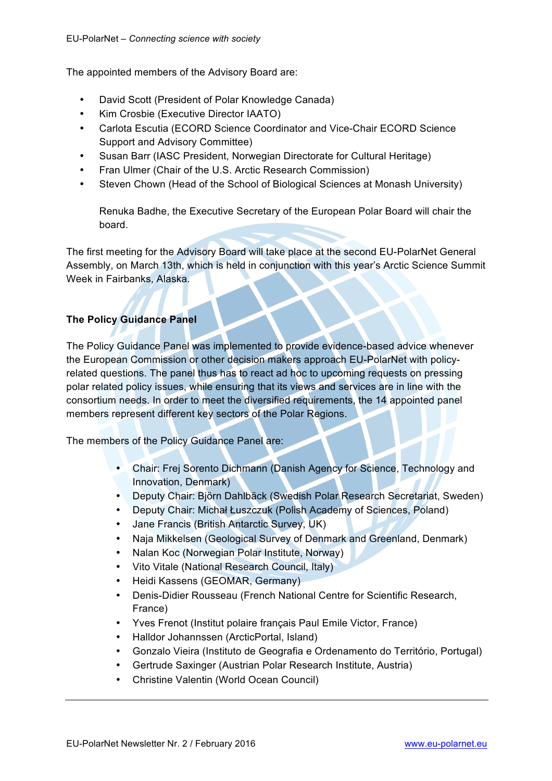The appointed members of the Advisory Board are:

- David Scott (President of Polar Knowledge Canada)
- Kim Crosbie (Executive Director IAATO)
- Carlota Escutia (ECORD Science Coordinator and Vice-Chair ECORD Science Support and Advisory Committee)
- Susan Barr (IASC President, Norwegian Directorate for Cultural Heritage)
- Fran Ulmer (Chair of the U.S. Arctic Research Commission)
- Steven Chown (Head of the School of Biological Sciences at Monash University)

Renuka Badhe, the Executive Secretary of the European Polar Board will chair the board.

The first meeting for the Advisory Board will take place at the second EU-PolarNet General Assembly, on March 13th, which is held in conjunction with this year's Arctic Science Summit Week in Fairbanks, Alaska.

### **The Policy Guidance Panel**

The Policy Guidance Panel was implemented to provide evidence-based advice whenever the European Commission or other decision makers approach EU-PolarNet with policyrelated questions. The panel thus has to react ad hoc to upcoming requests on pressing polar related policy issues, while ensuring that its views and services are in line with the consortium needs. In order to meet the diversified requirements, the 14 appointed panel members represent different key sectors of the Polar Regions.

The members of the Policy Guidance Panel are:

- Chair: Frej Sorento Dichmann (Danish Agency for Science, Technology and Innovation, Denmark)
- Deputy Chair: Björn Dahlbäck (Swedish Polar Research Secretariat, Sweden)
- Deputy Chair: Michał Łuszczuk (Polish Academy of Sciences, Poland)
- Jane Francis (British Antarctic Survey, UK)
- Naja Mikkelsen (Geological Survey of Denmark and Greenland, Denmark)
- Nalan Koc (Norwegian Polar Institute, Norway)
- Vito Vitale (National Research Council, Italy)
- Heidi Kassens (GEOMAR, Germany)
- Denis-Didier Rousseau (French National Centre for Scientific Research, France)
- Yves Frenot (Institut polaire français Paul Emile Victor, France)
- Halldor Johannssen (ArcticPortal, Island)
- Gonzalo Vieira (Instituto de Geografia e Ordenamento do Território, Portugal)
- Gertrude Saxinger (Austrian Polar Research Institute, Austria)
- Christine Valentin (World Ocean Council)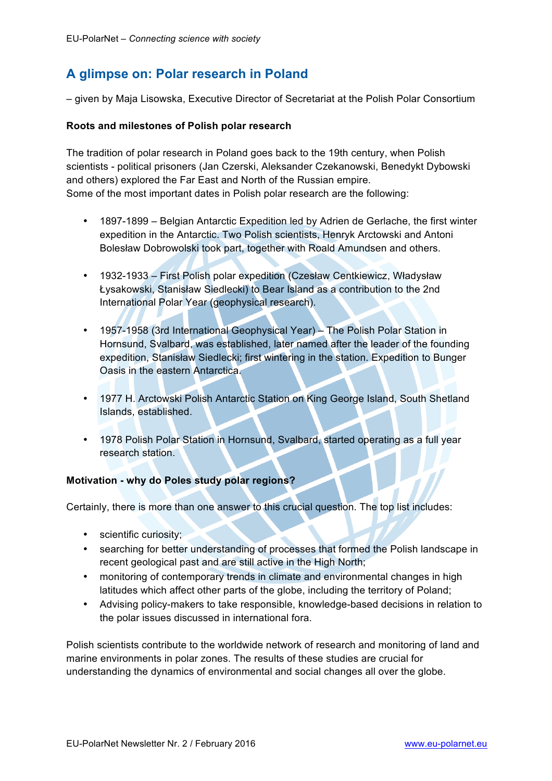## <span id="page-4-0"></span>**A glimpse on: Polar research in Poland**

– given by Maja Lisowska, Executive Director of Secretariat at the Polish Polar Consortium

#### **Roots and milestones of Polish polar research**

The tradition of polar research in Poland goes back to the 19th century, when Polish scientists - political prisoners (Jan Czerski, Aleksander Czekanowski, Benedykt Dybowski and others) explored the Far East and North of the Russian empire. Some of the most important dates in Polish polar research are the following:

- 1897-1899 Belgian Antarctic Expedition led by Adrien de Gerlache, the first winter expedition in the Antarctic. Two Polish scientists, Henryk Arctowski and Antoni Bolesław Dobrowolski took part, together with Roald Amundsen and others.
- 1932-1933 First Polish polar expedition (Czesław Centkiewicz, Władysław Łysakowski, Stanisław Siedlecki) to Bear Island as a contribution to the 2nd International Polar Year (geophysical research).
- 1957-1958 (3rd International Geophysical Year) The Polish Polar Station in Hornsund, Svalbard, was established, later named after the leader of the founding expedition, Stanisław Siedlecki; first wintering in the station. Expedition to Bunger Oasis in the eastern Antarctica.
- 1977 H. Arctowski Polish Antarctic Station on King George Island, South Shetland Islands, established.
- 1978 Polish Polar Station in Hornsund, Svalbard, started operating as a full year research station.

#### **Motivation - why do Poles study polar regions?**

Certainly, there is more than one answer to this crucial question. The top list includes:

- scientific curiosity;
- searching for better understanding of processes that formed the Polish landscape in recent geological past and are still active in the High North;
- monitoring of contemporary trends in climate and environmental changes in high latitudes which affect other parts of the globe, including the territory of Poland;
- Advising policy-makers to take responsible, knowledge-based decisions in relation to the polar issues discussed in international fora.

Polish scientists contribute to the worldwide network of research and monitoring of land and marine environments in polar zones. The results of these studies are crucial for understanding the dynamics of environmental and social changes all over the globe.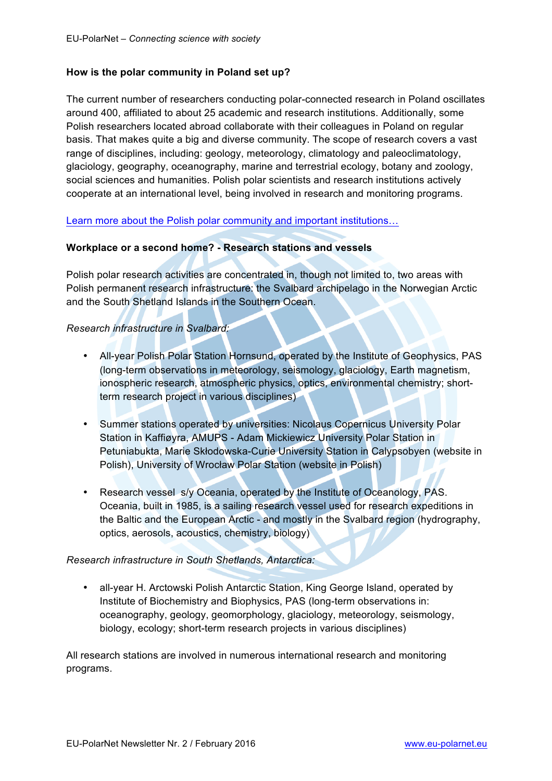#### **How is the polar community in Poland set up?**

The current number of researchers conducting polar-connected research in Poland oscillates around 400, affiliated to about 25 academic and research institutions. Additionally, some Polish researchers located abroad collaborate with their colleagues in Poland on regular basis. That makes quite a big and diverse community. The scope of research covers a vast range of disciplines, including: geology, meteorology, climatology and paleoclimatology, glaciology, geography, oceanography, marine and terrestrial ecology, botany and zoology, social sciences and humanities. Polish polar scientists and research institutions actively cooperate at an international level, being involved in research and monitoring programs.

[Learn more about the Polish polar community and important institutions](http://www.eu-polarnet.eu/european-polar-science/europe-and-the-polar-regions/polish-polar-research.html#730)…

#### **Workplace or a second home? - Research stations and vessels**

Polish polar research activities are concentrated in, though not limited to, two areas with Polish permanent research infrastructure: the Svalbard archipelago in the Norwegian Arctic and the South Shetland Islands in the Southern Ocean.

#### *Research infrastructure in Svalbard:*

- All-year Polish Polar Station Hornsund, operated by the Institute of Geophysics, PAS (long-term observations in meteorology, seismology, glaciology, Earth magnetism, ionospheric research, atmospheric physics, optics, environmental chemistry; shortterm research project in various disciplines)
- Summer stations operated by universities: Nicolaus Copernicus University Polar Station in Kaffiøyra, AMUPS - Adam Mickiewicz University Polar Station in Petuniabukta, Marie Skłodowska-Curie University Station in Calypsobyen (website in Polish), University of Wrocław Polar Station (website in Polish)
- Research vessel s/y Oceania, operated by the Institute of Oceanology, PAS. Oceania, built in 1985, is a sailing research vessel used for research expeditions in the Baltic and the European Arctic - and mostly in the Svalbard region (hydrography, optics, aerosols, acoustics, chemistry, biology)

#### *Research infrastructure in South Shetlands, Antarctica:*

• all-year H. Arctowski Polish Antarctic Station, King George Island, operated by Institute of Biochemistry and Biophysics, PAS (long-term observations in: oceanography, geology, geomorphology, glaciology, meteorology, seismology, biology, ecology; short-term research projects in various disciplines)

All research stations are involved in numerous international research and monitoring programs.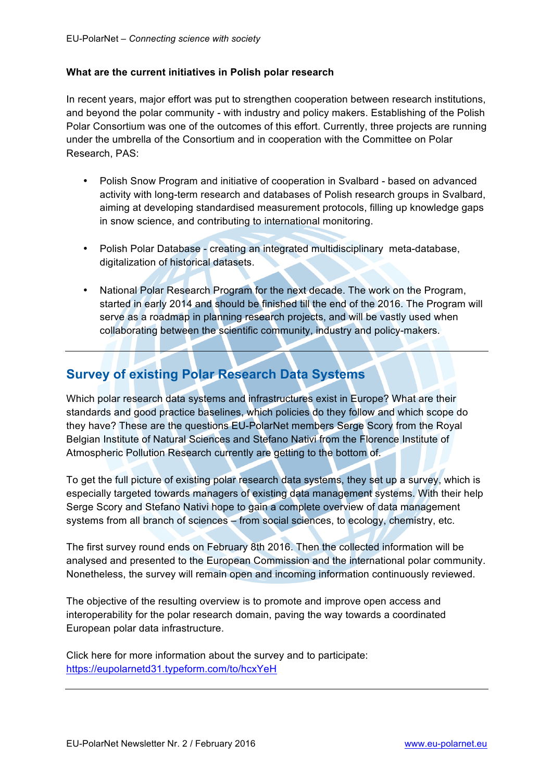#### <span id="page-6-0"></span>**What are the current initiatives in Polish polar research**

In recent years, major effort was put to strengthen cooperation between research institutions, and beyond the polar community - with industry and policy makers. Establishing of the Polish Polar Consortium was one of the outcomes of this effort. Currently, three projects are running under the umbrella of the Consortium and in cooperation with the Committee on Polar Research, PAS:

- Polish Snow Program and initiative of cooperation in Svalbard based on advanced activity with long-term research and databases of Polish research groups in Svalbard, aiming at developing standardised measurement protocols, filling up knowledge gaps in snow science, and contributing to international monitoring.
- Polish Polar Database creating an integrated multidisciplinary meta-database, digitalization of historical datasets.
- National Polar Research Program for the next decade. The work on the Program, started in early 2014 and should be finished till the end of the 2016. The Program will serve as a roadmap in planning research projects, and will be vastly used when collaborating between the scientific community, industry and policy-makers.

### **Survey of existing Polar Research Data Systems**

Which polar research data systems and infrastructures exist in Europe? What are their standards and good practice baselines, which policies do they follow and which scope do they have? These are the questions EU-PolarNet members Serge Scory from the Royal Belgian Institute of Natural Sciences and Stefano Nativi from the Florence Institute of Atmospheric Pollution Research currently are getting to the bottom of.

To get the full picture of existing polar research data systems, they set up a survey, which is especially targeted towards managers of existing data management systems. With their help Serge Scory and Stefano Nativi hope to gain a complete overview of data management systems from all branch of sciences – from social sciences, to ecology, chemistry, etc.

The first survey round ends on February 8th 2016. Then the collected information will be analysed and presented to the European Commission and the international polar community. Nonetheless, the survey will remain open and incoming information continuously reviewed.

The objective of the resulting overview is to promote and improve open access and interoperability for the polar research domain, paving the way towards a coordinated European polar data infrastructure.

Click here for more information about the survey and to participate: https://eupolarnetd31.typeform.com/to/hcxYeH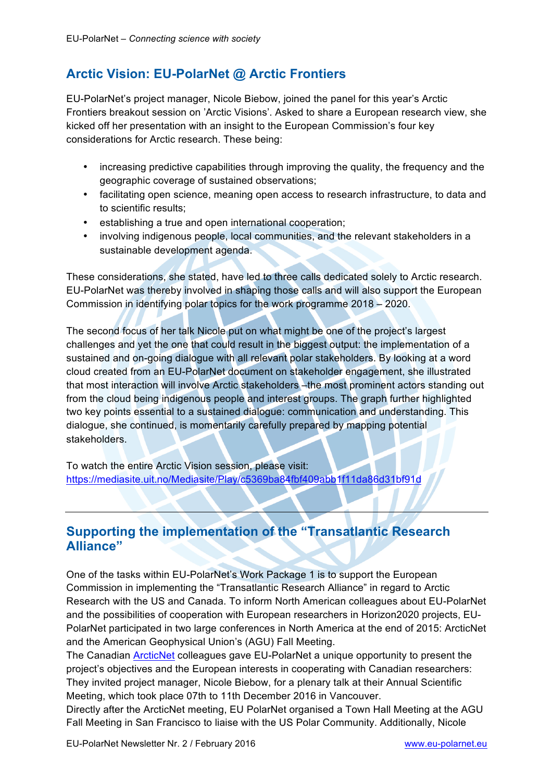## <span id="page-7-0"></span>**Arctic Vision: EU-PolarNet @ Arctic Frontiers**

EU-PolarNet's project manager, Nicole Biebow, joined the panel for this year's Arctic Frontiers breakout session on 'Arctic Visions'. Asked to share a European research view, she kicked off her presentation with an insight to the European Commission's four key considerations for Arctic research. These being:

- increasing predictive capabilities through improving the quality, the frequency and the geographic coverage of sustained observations;
- facilitating open science, meaning open access to research infrastructure, to data and to scientific results;
- establishing a true and open international cooperation;
- involving indigenous people, local communities, and the relevant stakeholders in a sustainable development agenda.

These considerations, she stated, have led to three calls dedicated solely to Arctic research. EU-PolarNet was thereby involved in shaping those calls and will also support the European Commission in identifying polar topics for the work programme 2018 – 2020.

The second focus of her talk Nicole put on what might be one of the project's largest challenges and yet the one that could result in the biggest output: the implementation of a sustained and on-going dialogue with all relevant polar stakeholders. By looking at a word cloud created from an EU-PolarNet document on stakeholder engagement, she illustrated that most interaction will involve Arctic stakeholders –the most prominent actors standing out from the cloud being indigenous people and interest groups. The graph further highlighted two key points essential to a sustained dialogue: communication and understanding. This dialogue, she continued, is momentarily carefully prepared by mapping potential stakeholders.

To watch the entire Arctic Vision session, please visit: https://mediasite.uit.no/Mediasite/Play/c5369ba84fbf409abb1f11da86d31bf91d

## **Supporting the implementation of the "Transatlantic Research Alliance"**

One of the tasks within EU-PolarNet's Work Package 1 is to support the European Commission in implementing the "Transatlantic Research Alliance" in regard to Arctic Research with the US and Canada. To inform North American colleagues about EU-PolarNet and the possibilities of cooperation with European researchers in Horizon2020 projects, EU-PolarNet participated in two large conferences in North America at the end of 2015: ArcticNet and the American Geophysical Union's (AGU) Fall Meeting.

The Canadian [ArcticNet](http://www.arcticnet.ulaval.ca/) colleagues gave EU-PolarNet a unique opportunity to present the project's objectives and the European interests in cooperating with Canadian researchers: They invited project manager, Nicole Biebow, for a plenary talk at their Annual Scientific Meeting, which took place 07th to 11th December 2016 in Vancouver.

Directly after the ArcticNet meeting, EU PolarNet organised a Town Hall Meeting at the AGU Fall Meeting in San Francisco to liaise with the US Polar Community. Additionally, Nicole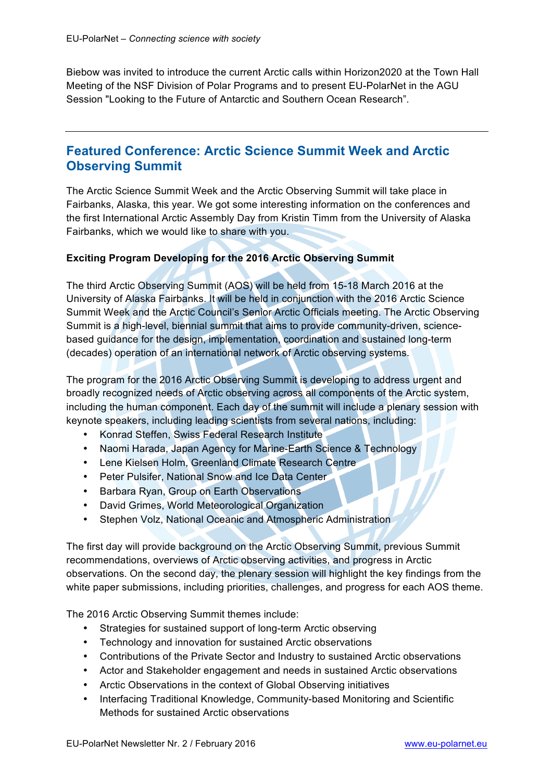<span id="page-8-0"></span>Biebow was invited to introduce the current Arctic calls within Horizon2020 at the Town Hall Meeting of the NSF Division of Polar Programs and to present EU-PolarNet in the AGU Session "Looking to the Future of Antarctic and Southern Ocean Research".

### **Featured Conference: Arctic Science Summit Week and Arctic Observing Summit**

The Arctic Science Summit Week and the Arctic Observing Summit will take place in Fairbanks, Alaska, this year. We got some interesting information on the conferences and the first International Arctic Assembly Day from Kristin Timm from the University of Alaska Fairbanks, which we would like to share with you.

#### **Exciting Program Developing for the 2016 Arctic Observing Summit**

The third Arctic Observing Summit (AOS) will be held from 15-18 March 2016 at the University of Alaska Fairbanks. It will be held in conjunction with the 2016 Arctic Science Summit Week and the Arctic Council's Senior Arctic Officials meeting. The Arctic Observing Summit is a high-level, biennial summit that aims to provide community-driven, sciencebased guidance for the design, implementation, coordination and sustained long-term (decades) operation of an international network of Arctic observing systems.

The program for the 2016 Arctic Observing Summit is developing to address urgent and broadly recognized needs of Arctic observing across all components of the Arctic system, including the human component. Each day of the summit will include a plenary session with keynote speakers, including leading scientists from several nations, including:

- Konrad Steffen, Swiss Federal Research Institute
- Naomi Harada, Japan Agency for Marine-Earth Science & Technology
- Lene Kielsen Holm, Greenland Climate Research Centre
- Peter Pulsifer, National Snow and Ice Data Center
- Barbara Ryan, Group on Earth Observations
- David Grimes, World Meteorological Organization
- Stephen Volz, National Oceanic and Atmospheric Administration

The first day will provide background on the Arctic Observing Summit, previous Summit recommendations, overviews of Arctic observing activities, and progress in Arctic observations. On the second day, the plenary session will highlight the key findings from the white paper submissions, including priorities, challenges, and progress for each AOS theme.

The 2016 Arctic Observing Summit themes include:

- Strategies for sustained support of long-term Arctic observing
- Technology and innovation for sustained Arctic observations
- Contributions of the Private Sector and Industry to sustained Arctic observations
- Actor and Stakeholder engagement and needs in sustained Arctic observations
- Arctic Observations in the context of Global Observing initiatives
- Interfacing Traditional Knowledge, Community-based Monitoring and Scientific Methods for sustained Arctic observations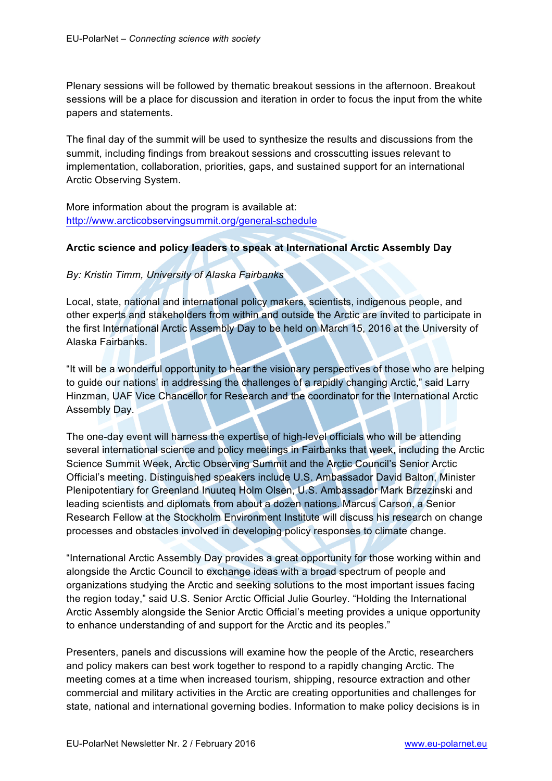Plenary sessions will be followed by thematic breakout sessions in the afternoon. Breakout sessions will be a place for discussion and iteration in order to focus the input from the white papers and statements.

The final day of the summit will be used to synthesize the results and discussions from the summit, including findings from breakout sessions and crosscutting issues relevant to implementation, collaboration, priorities, gaps, and sustained support for an international Arctic Observing System.

More information about the program is available at: http://www.arcticobservingsummit.org/general-schedule

#### **Arctic science and policy leaders to speak at International Arctic Assembly Day**

*By: Kristin Timm, University of Alaska Fairbanks*

Local, state, national and international policy makers, scientists, indigenous people, and other experts and stakeholders from within and outside the Arctic are invited to participate in the first International Arctic Assembly Day to be held on March 15, 2016 at the University of Alaska Fairbanks.

"It will be a wonderful opportunity to hear the visionary perspectives of those who are helping to guide our nations' in addressing the challenges of a rapidly changing Arctic," said Larry Hinzman, UAF Vice Chancellor for Research and the coordinator for the International Arctic Assembly Day.

The one-day event will harness the expertise of high-level officials who will be attending several international science and policy meetings in Fairbanks that week, including the Arctic Science Summit Week, Arctic Observing Summit and the Arctic Council's Senior Arctic Official's meeting. Distinguished speakers include U.S. Ambassador David Balton, Minister Plenipotentiary for Greenland Inuuteq Holm Olsen, U.S. Ambassador Mark Brzezinski and leading scientists and diplomats from about a dozen nations. Marcus Carson, a Senior Research Fellow at the Stockholm Environment Institute will discuss his research on change processes and obstacles involved in developing policy responses to climate change.

"International Arctic Assembly Day provides a great opportunity for those working within and alongside the Arctic Council to exchange ideas with a broad spectrum of people and organizations studying the Arctic and seeking solutions to the most important issues facing the region today," said U.S. Senior Arctic Official Julie Gourley. "Holding the International Arctic Assembly alongside the Senior Arctic Official's meeting provides a unique opportunity to enhance understanding of and support for the Arctic and its peoples."

Presenters, panels and discussions will examine how the people of the Arctic, researchers and policy makers can best work together to respond to a rapidly changing Arctic. The meeting comes at a time when increased tourism, shipping, resource extraction and other commercial and military activities in the Arctic are creating opportunities and challenges for state, national and international governing bodies. Information to make policy decisions is in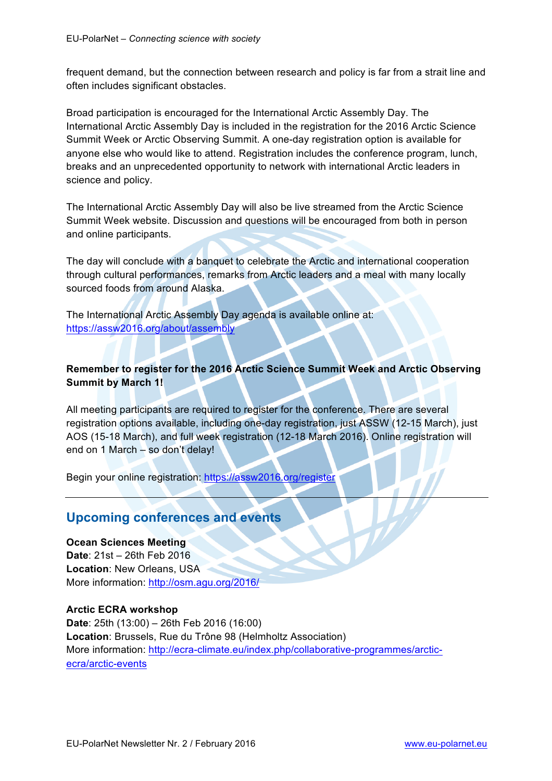<span id="page-10-0"></span>frequent demand, but the connection between research and policy is far from a strait line and often includes significant obstacles.

Broad participation is encouraged for the International Arctic Assembly Day. The International Arctic Assembly Day is included in the registration for the 2016 Arctic Science Summit Week or Arctic Observing Summit. A one-day registration option is available for anyone else who would like to attend. Registration includes the conference program, lunch, breaks and an unprecedented opportunity to network with international Arctic leaders in science and policy.

The International Arctic Assembly Day will also be live streamed from the Arctic Science Summit Week website. Discussion and questions will be encouraged from both in person and online participants.

The day will conclude with a banquet to celebrate the Arctic and international cooperation through cultural performances, remarks from Arctic leaders and a meal with many locally sourced foods from around Alaska.

The International Arctic Assembly Day agenda is available online at: https://assw2016.org/about/assembly

### **Remember to register for the 2016 Arctic Science Summit Week and Arctic Observing Summit by March 1!**

All meeting participants are required to register for the conference. There are several registration options available, including one-day registration, just ASSW (12-15 March), just AOS (15-18 March), and full week registration (12-18 March 2016). Online registration will end on 1 March – so don't delay!

Begin your online registration: https://assw2016.org/register

### **Upcoming conferences and events**

**Ocean Sciences Meeting Date**: 21st – 26th Feb 2016 **Location**: New Orleans, USA More information: http://osm.agu.org/2016/

#### **Arctic ECRA workshop**

**Date**: 25th (13:00) – 26th Feb 2016 (16:00) **Location**: Brussels, Rue du Trône 98 (Helmholtz Association) More information: http://ecra-climate.eu/index.php/collaborative-programmes/arcticecra/arctic-events